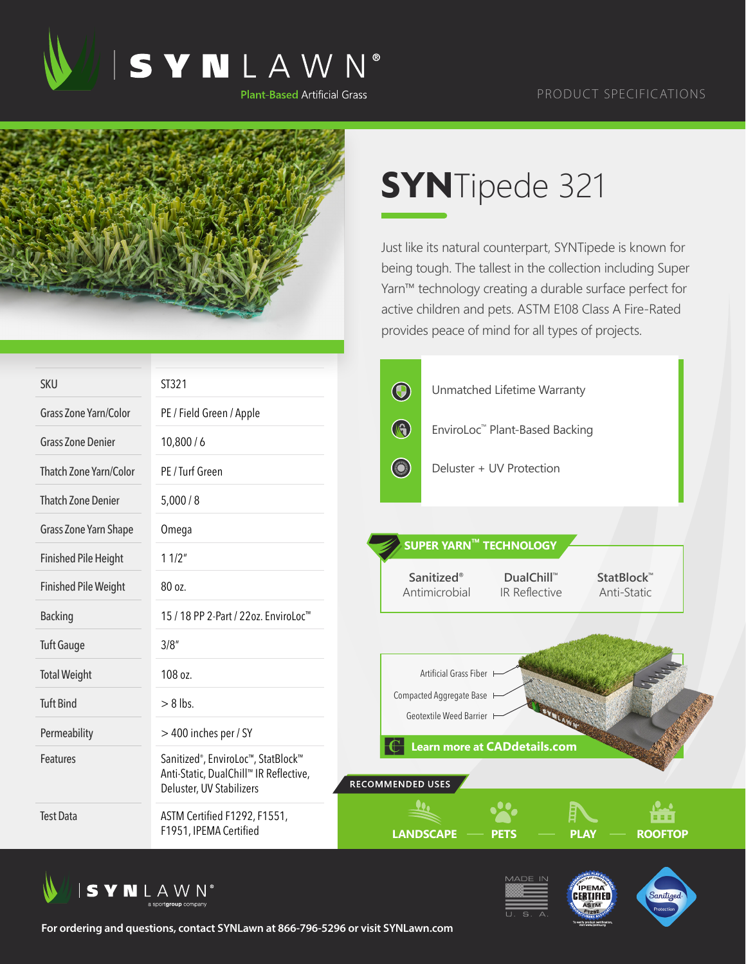

## PRODUCT SPECIFICATIONS



## **SYN**Tipede 321

Just like its natural counterpart, SYNTipede is known for being tough. The tallest in the collection including Super Yarn™ technology creating a durable surface perfect for active children and pets. ASTM E108 Class A Fire-Rated provides peace of mind for all types of projects.

| <b>SKU</b>                  | ST321                                                                                                                 | $\bigcirc$                                             | Unmatched Lifetime Warranty                           |                                    |                           |  |
|-----------------------------|-----------------------------------------------------------------------------------------------------------------------|--------------------------------------------------------|-------------------------------------------------------|------------------------------------|---------------------------|--|
| Grass Zone Yarn/Color       | PE / Field Green / Apple                                                                                              |                                                        |                                                       |                                    |                           |  |
| <b>Grass Zone Denier</b>    | 10,800/6                                                                                                              | $\bigcirc$                                             | EnviroLoc™ Plant-Based Backing                        |                                    |                           |  |
| Thatch Zone Yarn/Color      | PE / Turf Green                                                                                                       | <b>College College College College College College</b> | Deluster + UV Protection                              |                                    |                           |  |
| <b>Thatch Zone Denier</b>   | 5,000/8                                                                                                               |                                                        |                                                       |                                    |                           |  |
| Grass Zone Yarn Shape       | Omega                                                                                                                 |                                                        |                                                       |                                    |                           |  |
| <b>Finished Pile Height</b> | 11/2"                                                                                                                 |                                                        | SUPER YARN™ TECHNOLOGY                                |                                    |                           |  |
| <b>Finished Pile Weight</b> | 80 oz.                                                                                                                |                                                        | <b>Sanitized®</b><br>Antimicrobial                    | DualChill™<br><b>IR Reflective</b> | StatBlock™<br>Anti-Static |  |
| <b>Backing</b>              | 15 / 18 PP 2-Part / 22oz. EnviroLoc <sup>™</sup>                                                                      |                                                        |                                                       |                                    |                           |  |
| <b>Tuft Gauge</b>           | 3/8''                                                                                                                 |                                                        |                                                       |                                    |                           |  |
| <b>Total Weight</b>         | 108 oz.                                                                                                               |                                                        | Artificial Grass Fiber                                |                                    |                           |  |
| <b>Tuft Bind</b>            | $> 8$ lbs.                                                                                                            |                                                        | Compacted Aggregate Base<br>Geotextile Weed Barrier F |                                    |                           |  |
| Permeability                | > 400 inches per / SY                                                                                                 |                                                        |                                                       |                                    |                           |  |
| <b>Features</b>             | Sanitized <sup>®</sup> , EnviroLoc™, StatBlock™<br>Anti-Static, DualChill™ IR Reflective,<br>Deluster, UV Stabilizers | RECOMMENDED USES                                       | Learn more at CADdetails.com                          |                                    |                           |  |
| <b>Test Data</b>            | ASTM Certified F1292, F1551,<br>F1951, IPEMA Certified                                                                | <b>LANDSCAPE</b>                                       | PEK                                                   |                                    | .<br><b>ROOFTOP</b>       |  |







**For ordering and questions, contact SYNLawn at 866-796-5296 or visit SYNLawn.com**